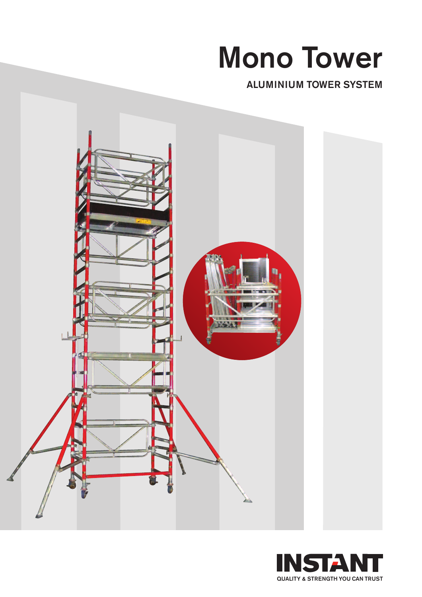# **Mono Tower**

**ALUMINIUM TOWER SYSTEM**